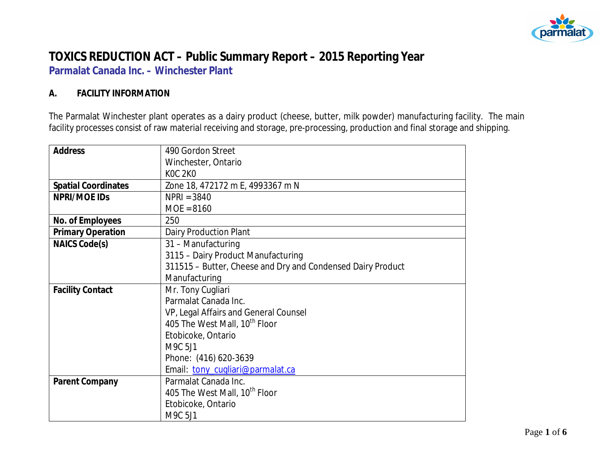

# **TOXICS REDUCTION ACT – Public Summary Report – 2015 Reporting Year**

**Parmalat Canada Inc. – Winchester Plant**

#### **A. FACILITY INFORMATION**

The Parmalat Winchester plant operates as a dairy product (cheese, butter, milk powder) manufacturing facility. The main facility processes consist of raw material receiving and storage, pre-processing, production and final storage and shipping.

| <b>Address</b>             | 490 Gordon Street                                           |  |  |  |  |
|----------------------------|-------------------------------------------------------------|--|--|--|--|
|                            | Winchester, Ontario                                         |  |  |  |  |
|                            | <b>KOC 2KO</b>                                              |  |  |  |  |
| <b>Spatial Coordinates</b> | Zone 18, 472172 m E, 4993367 m N                            |  |  |  |  |
| NPRI/MOE IDS               | $NPRI = 3840$                                               |  |  |  |  |
|                            | $MOE = 8160$                                                |  |  |  |  |
| No. of Employees           | 250                                                         |  |  |  |  |
| <b>Primary Operation</b>   | <b>Dairy Production Plant</b>                               |  |  |  |  |
| NAICS Code(s)              | 31 - Manufacturing                                          |  |  |  |  |
|                            | 3115 - Dairy Product Manufacturing                          |  |  |  |  |
|                            | 311515 - Butter, Cheese and Dry and Condensed Dairy Product |  |  |  |  |
|                            | Manufacturing                                               |  |  |  |  |
| <b>Facility Contact</b>    | Mr. Tony Cugliari                                           |  |  |  |  |
|                            | Parmalat Canada Inc.                                        |  |  |  |  |
|                            | VP, Legal Affairs and General Counsel                       |  |  |  |  |
|                            | 405 The West Mall, 10 <sup>th</sup> Floor                   |  |  |  |  |
|                            | Etobicoke, Ontario                                          |  |  |  |  |
|                            | M9C 5J1                                                     |  |  |  |  |
|                            | Phone: (416) 620-3639                                       |  |  |  |  |
|                            | Email: tony_cugliari@parmalat.ca                            |  |  |  |  |
| Parent Company             | Parmalat Canada Inc.                                        |  |  |  |  |
|                            | 405 The West Mall, 10 <sup>th</sup> Floor                   |  |  |  |  |
| Etobicoke, Ontario         |                                                             |  |  |  |  |
|                            | M9C 5J1                                                     |  |  |  |  |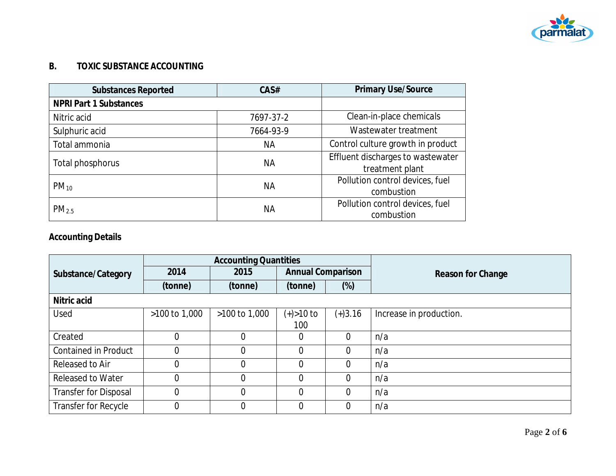

### **B. TOXIC SUBSTANCE ACCOUNTING**

| <b>Substances Reported</b>    | CAS#      | Primary Use/Source                                   |
|-------------------------------|-----------|------------------------------------------------------|
| <b>NPRI Part 1 Substances</b> |           |                                                      |
| Nitric acid                   | 7697-37-2 | Clean-in-place chemicals                             |
| Sulphuric acid                | 7664-93-9 | Wastewater treatment                                 |
| Total ammonia                 | ΝA        | Control culture growth in product                    |
| Total phosphorus              | ΝA        | Effluent discharges to wastewater<br>treatment plant |
| $PM_{10}$                     | ΝA        | Pollution control devices, fuel<br>combustion        |
| PM <sub>2.5</sub>             | ΝA        | Pollution control devices, fuel<br>combustion        |

## **Accounting Details**

|                              | <b>Accounting Quantities</b> |                 |                          |           |                         |
|------------------------------|------------------------------|-----------------|--------------------------|-----------|-------------------------|
| Substance/Category           | 2014                         | 2015            | <b>Annual Comparison</b> |           | Reason for Change       |
|                              | (tonne)                      | (tonne)         | (tonne)                  | (%)       |                         |
| Nitric acid                  |                              |                 |                          |           |                         |
| Used                         | $>100$ to 1,000              | $>100$ to 1,000 | $(+) > 10$ to            | $(+)3.16$ | Increase in production. |
|                              |                              |                 | 100                      |           |                         |
| Created                      | $\overline{0}$               |                 | 0                        | $\Omega$  | n/a                     |
| <b>Contained in Product</b>  | $\overline{0}$               |                 | 0                        | $\Omega$  | n/a                     |
| Released to Air              | $\overline{0}$               | $\overline{0}$  | $\overline{0}$           | $\Omega$  | n/a                     |
| <b>Released to Water</b>     | $\overline{0}$               | $\Omega$        | $\Omega$                 | $\Omega$  | n/a                     |
| <b>Transfer for Disposal</b> | $\overline{0}$               | 0               | $\overline{0}$           | $\Omega$  | n/a                     |
| Transfer for Recycle         | $\overline{0}$               | 0               | 0                        | $\Omega$  | n/a                     |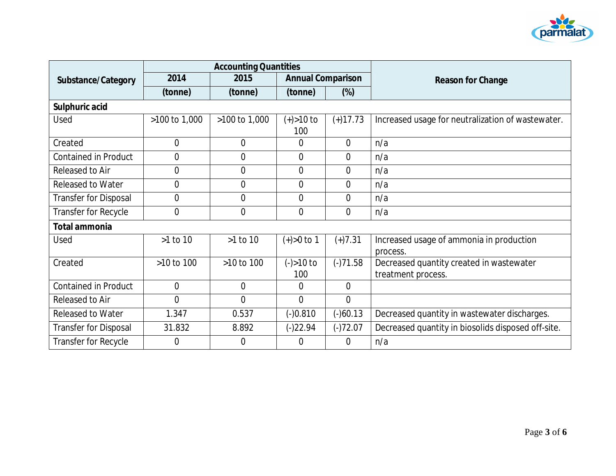

|                              | <b>Accounting Quantities</b> |                |                          |                |                                                    |
|------------------------------|------------------------------|----------------|--------------------------|----------------|----------------------------------------------------|
| Substance/Category           | 2014                         | 2015           | <b>Annual Comparison</b> |                | Reason for Change                                  |
|                              | (tonne)                      | (tonne)        | (tonne)                  | (%)            |                                                    |
| Sulphuric acid               |                              |                |                          |                |                                                    |
| Used                         | >100 to 1,000                | >100 to 1,000  | $(+) > 10$ to            | $(+)17.73$     | Increased usage for neutralization of wastewater.  |
|                              |                              |                | 100                      |                |                                                    |
| Created                      | $\mathbf 0$                  | $\overline{0}$ | 0                        | $\Omega$       | n/a                                                |
| Contained in Product         | $\overline{0}$               | $\overline{0}$ | 0                        | $\overline{0}$ | n/a                                                |
| Released to Air              | $\overline{0}$               | $\overline{0}$ | $\Omega$                 | $\Omega$       | n/a                                                |
| <b>Released to Water</b>     | $\mathbf 0$                  | $\overline{0}$ | $\overline{0}$           | $\overline{0}$ | n/a                                                |
| <b>Transfer for Disposal</b> | $\mathbf 0$                  | $\overline{0}$ | $\overline{0}$           | $\overline{0}$ | n/a                                                |
| Transfer for Recycle         | $\overline{0}$               | $\overline{0}$ | $\overline{0}$           | $\Omega$       | n/a                                                |
| Total ammonia                |                              |                |                          |                |                                                    |
| Used                         | >1 to 10                     | $>1$ to 10     | $(+) > 0$ to 1           | $(+)7.31$      | Increased usage of ammonia in production           |
|                              |                              |                |                          |                | process.                                           |
| Created                      | >10 to 100                   | >10 to 100     | $(-) > 10$ to            | $(-)71.58$     | Decreased quantity created in wastewater           |
|                              |                              |                | 100                      |                | treatment process.                                 |
| <b>Contained in Product</b>  | $\overline{0}$               | $\overline{0}$ | $\theta$                 | $\Omega$       |                                                    |
| Released to Air              | $\overline{0}$               | $\overline{0}$ | $\overline{0}$           | $\overline{0}$ |                                                    |
| <b>Released to Water</b>     | 1.347                        | 0.537          | $(-)0.810$               | $(-)60.13$     | Decreased quantity in wastewater discharges.       |
| <b>Transfer for Disposal</b> | 31.832                       | 8.892          | $(-)22.94$               | $(-)72.07$     | Decreased quantity in biosolids disposed off-site. |
| Transfer for Recycle         | $\overline{0}$               | $\Omega$       | 0                        | $\Omega$       | n/a                                                |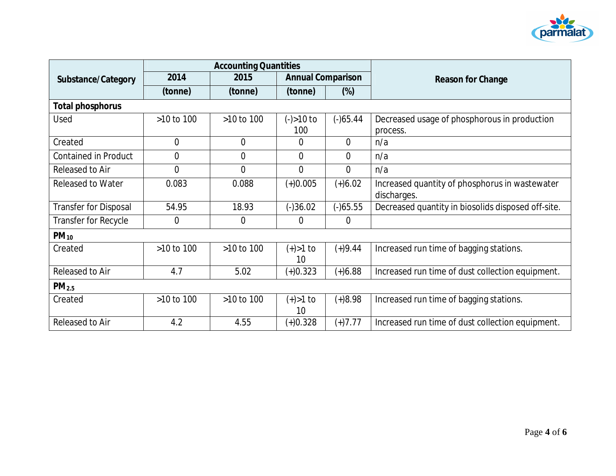

|                              | <b>Accounting Quantities</b> |                |                          |                |                                                               |
|------------------------------|------------------------------|----------------|--------------------------|----------------|---------------------------------------------------------------|
| Substance/Category           | 2014                         | 2015           | <b>Annual Comparison</b> |                | Reason for Change                                             |
|                              | (tonne)                      | (tonne)        | (tonne)                  | $(\%)$         |                                                               |
| Total phosphorus             |                              |                |                          |                |                                                               |
| Used                         | $>10$ to $100$               | >10 to 100     | $(-) > 10$ to<br>100     | $(-)65.44$     | Decreased usage of phosphorous in production<br>process.      |
| Created                      | $\theta$                     | $\overline{0}$ | 0                        | $\theta$       | n/a                                                           |
| <b>Contained in Product</b>  | $\overline{0}$               | $\overline{0}$ | $\overline{0}$           | $\Omega$       | n/a                                                           |
| Released to Air              | $\overline{0}$               | $\Omega$       | $\overline{0}$           | $\Omega$       | n/a                                                           |
| <b>Released to Water</b>     | 0.083                        | 0.088          | $(+)0.005$               | $(+)6.02$      | Increased quantity of phosphorus in wastewater<br>discharges. |
| <b>Transfer for Disposal</b> | 54.95                        | 18.93          | $(-)36.02$               | $(-)65.55$     | Decreased quantity in biosolids disposed off-site.            |
| <b>Transfer for Recycle</b>  | $\overline{0}$               | $\Omega$       | 0                        | $\overline{0}$ |                                                               |
| $PM_{10}$                    |                              |                |                          |                |                                                               |
| Created                      | >10 to 100                   | >10 to 100     | $(+) > 1$ to<br>10       | $(+)9.44$      | Increased run time of bagging stations.                       |
| Released to Air              | 4.7                          | 5.02           | $(+)0.323$               | $(+)6.88$      | Increased run time of dust collection equipment.              |
| PM <sub>2.5</sub>            |                              |                |                          |                |                                                               |
| Created                      | >10 to 100                   | >10 to 100     | $(+) > 1$ to<br>10       | $(+)8.98$      | Increased run time of bagging stations.                       |
| Released to Air              | 4.2                          | 4.55           | $(+)0.328$               | $(+)7.77$      | Increased run time of dust collection equipment.              |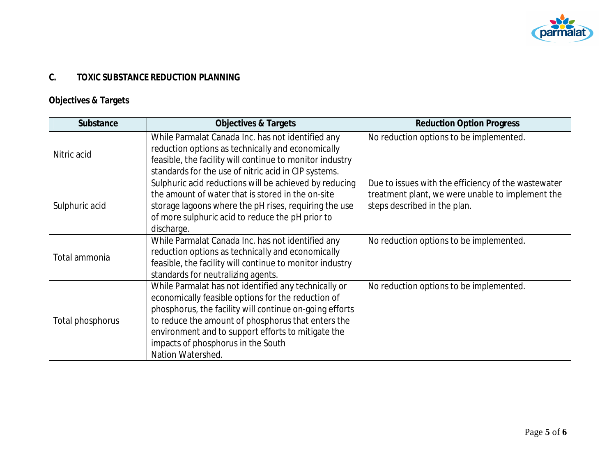

### **C. TOXIC SUBSTANCE REDUCTION PLANNING**

## **Objectives & Targets**

| Substance        | Objectives & Targets                                                                                   | <b>Reduction Option Progress</b>                    |
|------------------|--------------------------------------------------------------------------------------------------------|-----------------------------------------------------|
| Nitric acid      | While Parmalat Canada Inc. has not identified any<br>reduction options as technically and economically | No reduction options to be implemented.             |
|                  | feasible, the facility will continue to monitor industry                                               |                                                     |
|                  | standards for the use of nitric acid in CIP systems.                                                   |                                                     |
|                  | Sulphuric acid reductions will be achieved by reducing                                                 | Due to issues with the efficiency of the wastewater |
|                  | the amount of water that is stored in the on-site                                                      | treatment plant, we were unable to implement the    |
| Sulphuric acid   | storage lagoons where the pH rises, requiring the use                                                  | steps described in the plan.                        |
|                  | of more sulphuric acid to reduce the pH prior to                                                       |                                                     |
|                  | discharge.                                                                                             |                                                     |
|                  | While Parmalat Canada Inc. has not identified any                                                      | No reduction options to be implemented.             |
| Total ammonia    | reduction options as technically and economically                                                      |                                                     |
|                  | feasible, the facility will continue to monitor industry                                               |                                                     |
|                  | standards for neutralizing agents.                                                                     |                                                     |
| Total phosphorus | While Parmalat has not identified any technically or                                                   | No reduction options to be implemented.             |
|                  | economically feasible options for the reduction of                                                     |                                                     |
|                  | phosphorus, the facility will continue on-going efforts                                                |                                                     |
|                  | to reduce the amount of phosphorus that enters the                                                     |                                                     |
|                  | environment and to support efforts to mitigate the                                                     |                                                     |
|                  | impacts of phosphorus in the South                                                                     |                                                     |
|                  | Nation Watershed.                                                                                      |                                                     |